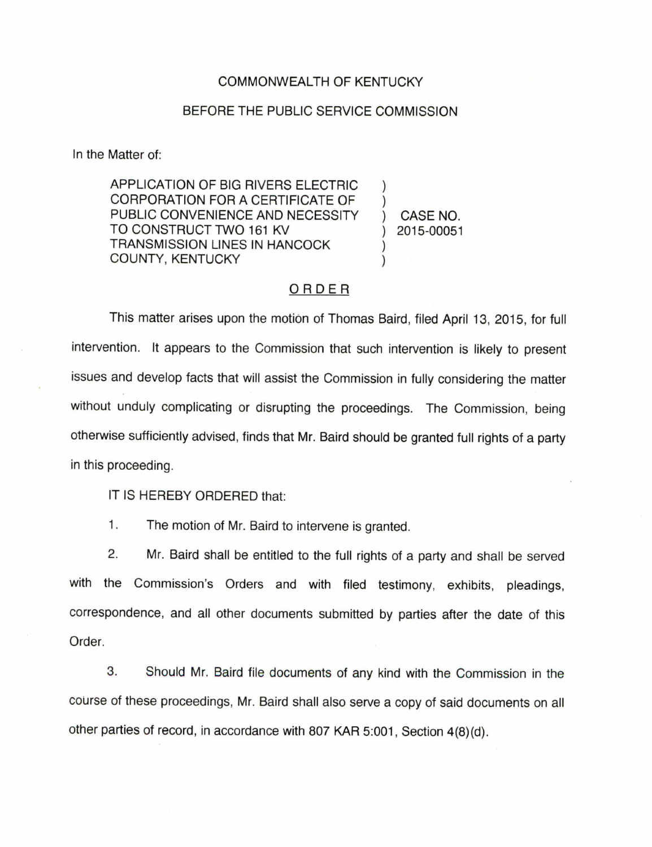## COMMONWEALTH OF KENTUCKY

## BEFORE THE PUBLIC SERVICE COMMISSION

In the Matter of:

APPLICATION OF BIG RIVERS ELECTRIC CORPORATION FOR A CERTIFICATE OF PUBLIC CONVENIENCE AND NECESSITY TO CONSTRUCT TWO 161 KV TRANSMISSION LINES IN HANCOCK COUNTY, KENTUCKY

CASE NO. 2015-00051

 $\mathcal{E}$ 

## ORDER

This matter arises upon the motion of Thomas Baird, filed April 13, 2015, for full intervention. It appears to the Commission that such intervention is likely to present issues and develop facts that will assist the Commission in fully considering the matter without unduly complicating or disrupting the proceedings. The Commission, being otherwise sufficiently advised, finds that Mr. Baird should be granted full rights of a party in this proceeding.

IT IS HEREBY ORDERED that:

1. The motion of Mr. Baird to intervene is granted.

2. Mr. Baird shall be entitled to the full rights of a party and shall be served with the Commission's Orders and with filed testimony, exhibits, pleadings, correspondence, and all other documents submitted by parties after the date of this Order.

3. Should Mr. Baird file documents of any kind with the Commission in the course of these proceedings, Mr. Baird shall also serve a copy of said documents on all other parties of record, in accordance with 607 KAR 5:001, Section 4(8)(d).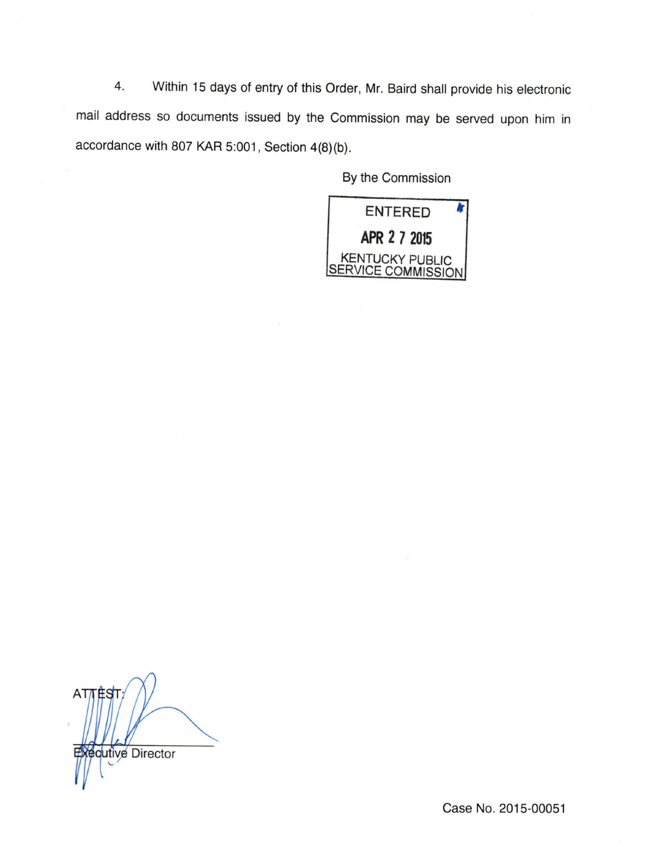4. Within 15 days of entry of this Order, Mr. Baird shall provide his electronic mail address so documents issued by the Commission may be served upon him in accordance with 807 KAR 5:001, Section 4(8)(b).

By the Commission



 $ATT$ qutive Director

Case No. 2015-00051